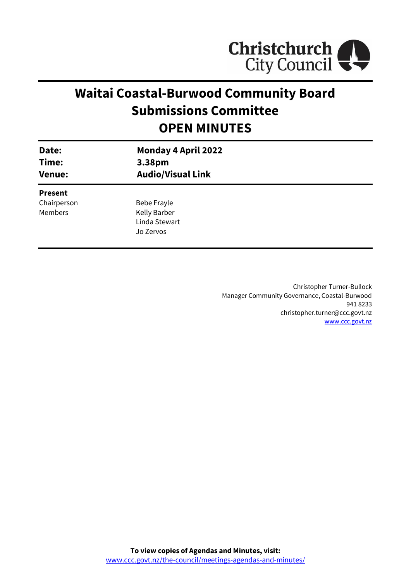

# **Waitai Coastal-Burwood Community Board Submissions Committee OPEN MINUTES**

| Date:<br>Time:<br><b>Venue:</b> | <b>Monday 4 April 2022</b><br>3.38pm<br><b>Audio/Visual Link</b> |  |
|---------------------------------|------------------------------------------------------------------|--|
| <b>Present</b>                  |                                                                  |  |
| Chairperson                     | Bebe Frayle                                                      |  |
| <b>Members</b>                  | Kelly Barber                                                     |  |
|                                 | Linda Stewart                                                    |  |
|                                 | Jo Zervos                                                        |  |
|                                 |                                                                  |  |

Christopher Turner-Bullock Manager Community Governance, Coastal-Burwood 941 8233 christopher.turner@ccc.govt.nz [www.ccc.govt.nz](http://www.ccc.govt.nz/)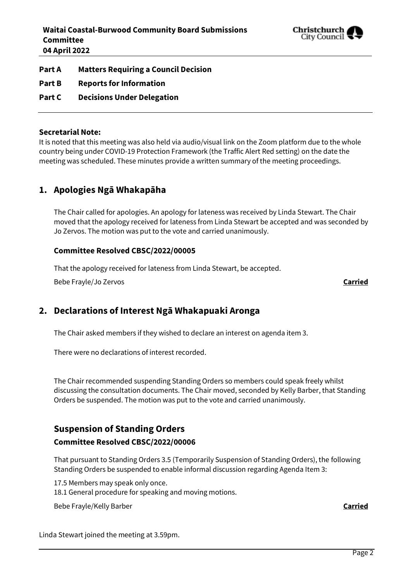

**Part A Matters Requiring a Council Decision**

- **Part B Reports for Information**
- **Part C Decisions Under Delegation**

#### **Secretarial Note:**

It is noted that this meeting was also held via audio/visual link on the Zoom platform due to the whole country being under COVID-19 Protection Framework (the Traffic Alert Red setting) on the date the meeting was scheduled. These minutes provide a written summary of the meeting proceedings.

## **1. Apologies Ngā Whakapāha**

The Chair called for apologies. An apology for lateness was received by Linda Stewart. The Chair moved that the apology received for lateness from Linda Stewart be accepted and was seconded by Jo Zervos. The motion was put to the vote and carried unanimously.

#### **Committee Resolved CBSC/2022/00005**

That the apology received for lateness from Linda Stewart, be accepted.

Bebe Frayle/Jo Zervos **Carried**

# **2. Declarations of Interest Ngā Whakapuaki Aronga**

The Chair asked members if they wished to declare an interest on agenda item 3.

There were no declarations of interest recorded.

The Chair recommended suspending Standing Orders so members could speak freely whilst discussing the consultation documents. The Chair moved, seconded by Kelly Barber, that Standing Orders be suspended. The motion was put to the vote and carried unanimously.

# **Suspension of Standing Orders**

### **Committee Resolved CBSC/2022/00006**

That pursuant to Standing Orders 3.5 (Temporarily Suspension of Standing Orders), the following Standing Orders be suspended to enable informal discussion regarding Agenda Item 3:

17.5 Members may speak only once.

18.1 General procedure for speaking and moving motions.

Bebe Frayle/Kelly Barber **Carried**

Linda Stewart joined the meeting at 3.59pm.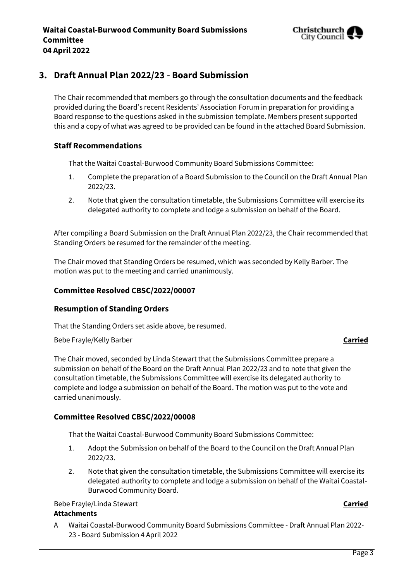

# **3. Draft Annual Plan 2022/23 - Board Submission**

The Chair recommended that members go through the consultation documents and the feedback provided during the Board's recent Residents' Association Forum in preparation for providing a Board response to the questions asked in the submission template. Members present supported this and a copy of what was agreed to be provided can be found in the attached Board Submission.

#### **Staff Recommendations**

That the Waitai Coastal-Burwood Community Board Submissions Committee:

- 1. Complete the preparation of a Board Submission to the Council on the Draft Annual Plan 2022/23.
- 2. Note that given the consultation timetable, the Submissions Committee will exercise its delegated authority to complete and lodge a submission on behalf of the Board.

After compiling a Board Submission on the Draft Annual Plan 2022/23, the Chair recommended that Standing Orders be resumed for the remainder of the meeting.

The Chair moved that Standing Orders be resumed, which was seconded by Kelly Barber. The motion was put to the meeting and carried unanimously.

#### **Committee Resolved CBSC/2022/00007**

#### **Resumption of Standing Orders**

That the Standing Orders set aside above, be resumed.

Bebe Frayle/Kelly Barber **Carried**

The Chair moved, seconded by Linda Stewart that the Submissions Committee prepare a submission on behalf of the Board on the Draft Annual Plan 2022/23 and to note that given the consultation timetable, the Submissions Committee will exercise its delegated authority to complete and lodge a submission on behalf of the Board. The motion was put to the vote and carried unanimously.

#### **Committee Resolved CBSC/2022/00008**

That the Waitai Coastal-Burwood Community Board Submissions Committee:

- 1. Adopt the Submission on behalf of the Board to the Council on the Draft Annual Plan 2022/23.
- 2. Note that given the consultation timetable, the Submissions Committee will exercise its delegated authority to complete and lodge a submission on behalf of the Waitai Coastal-Burwood Community Board.

#### Bebe Frayle/Linda Stewart **Carried**

#### **Attachments**

A Waitai Coastal-Burwood Community Board Submissions Committee - Draft Annual Plan 2022- 23 - Board Submission 4 April 2022